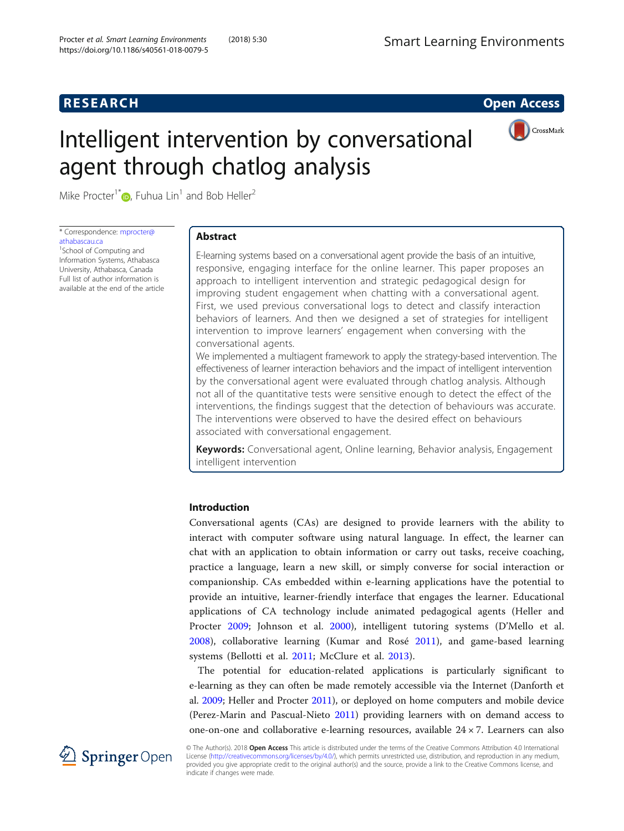## **RESEARCH RESEARCH CONSUMING ACCESS**

# Intelligent intervention by conversational agent through chatlog analysis



Mike Procter<sup>1\*</sup> $\bullet$ [,](http://orcid.org/0000-0001-8609-7963) Fuhua Lin<sup>1</sup> and Bob Heller<sup>2</sup>

\* Correspondence: [mprocter@](mailto:mprocter@athabascau.ca) [athabascau.ca](mailto:mprocter@athabascau.ca)

<sup>1</sup>School of Computing and Information Systems, Athabasca University, Athabasca, Canada Full list of author information is available at the end of the article

## Abstract

E-learning systems based on a conversational agent provide the basis of an intuitive, responsive, engaging interface for the online learner. This paper proposes an approach to intelligent intervention and strategic pedagogical design for improving student engagement when chatting with a conversational agent. First, we used previous conversational logs to detect and classify interaction behaviors of learners. And then we designed a set of strategies for intelligent intervention to improve learners' engagement when conversing with the conversational agents.

We implemented a multiagent framework to apply the strategy-based intervention. The effectiveness of learner interaction behaviors and the impact of intelligent intervention by the conversational agent were evaluated through chatlog analysis. Although not all of the quantitative tests were sensitive enough to detect the effect of the interventions, the findings suggest that the detection of behaviours was accurate. The interventions were observed to have the desired effect on behaviours associated with conversational engagement.

Keywords: Conversational agent, Online learning, Behavior analysis, Engagement intelligent intervention

## Introduction

Conversational agents (CAs) are designed to provide learners with the ability to interact with computer software using natural language. In effect, the learner can chat with an application to obtain information or carry out tasks, receive coaching, practice a language, learn a new skill, or simply converse for social interaction or companionship. CAs embedded within e-learning applications have the potential to provide an intuitive, learner-friendly interface that engages the learner. Educational applications of CA technology include animated pedagogical agents (Heller and Procter [2009](#page-14-0); Johnson et al. [2000\)](#page-14-0), intelligent tutoring systems (D'Mello et al. [2008\)](#page-13-0), collaborative learning (Kumar and Rosé [2011\)](#page-14-0), and game-based learning systems (Bellotti et al. [2011;](#page-13-0) McClure et al. [2013\)](#page-14-0).

The potential for education-related applications is particularly significant to e-learning as they can often be made remotely accessible via the Internet (Danforth et al. [2009;](#page-13-0) Heller and Procter [2011](#page-14-0)), or deployed on home computers and mobile device (Perez-Marin and Pascual-Nieto [2011](#page-14-0)) providing learners with on demand access to one-on-one and collaborative e-learning resources, available  $24 \times 7$ . Learners can also



© The Author(s). 2018 Open Access This article is distributed under the terms of the Creative Commons Attribution 4.0 International License [\(http://creativecommons.org/licenses/by/4.0/](http://creativecommons.org/licenses/by/4.0/)), which permits unrestricted use, distribution, and reproduction in any medium, provided you give appropriate credit to the original author(s) and the source, provide a link to the Creative Commons license, and indicate if changes were made.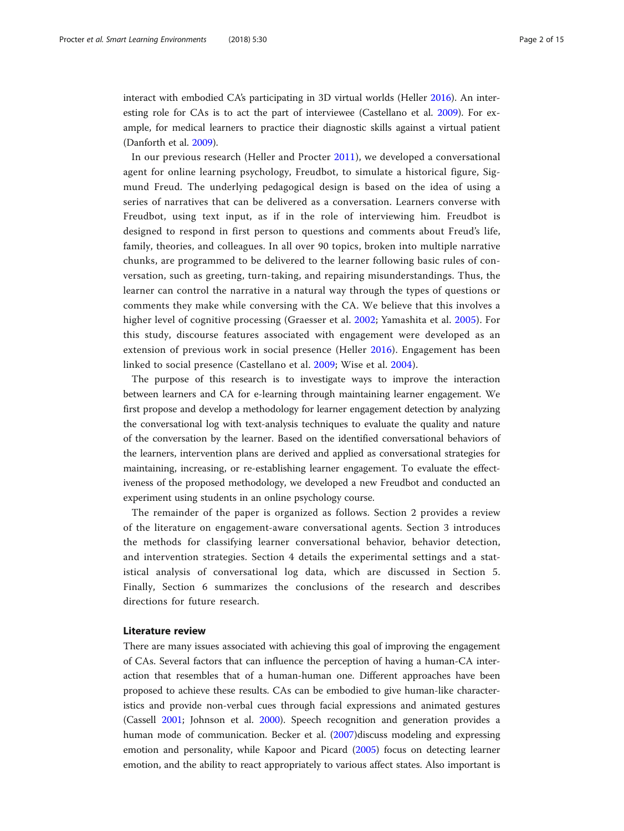interact with embodied CA's participating in 3D virtual worlds (Heller [2016\)](#page-13-0). An interesting role for CAs is to act the part of interviewee (Castellano et al. [2009](#page-13-0)). For example, for medical learners to practice their diagnostic skills against a virtual patient (Danforth et al. [2009](#page-13-0)).

In our previous research (Heller and Procter [2011](#page-14-0)), we developed a conversational agent for online learning psychology, Freudbot, to simulate a historical figure, Sigmund Freud. The underlying pedagogical design is based on the idea of using a series of narratives that can be delivered as a conversation. Learners converse with Freudbot, using text input, as if in the role of interviewing him. Freudbot is designed to respond in first person to questions and comments about Freud's life, family, theories, and colleagues. In all over 90 topics, broken into multiple narrative chunks, are programmed to be delivered to the learner following basic rules of conversation, such as greeting, turn-taking, and repairing misunderstandings. Thus, the learner can control the narrative in a natural way through the types of questions or comments they make while conversing with the CA. We believe that this involves a higher level of cognitive processing (Graesser et al. [2002;](#page-13-0) Yamashita et al. [2005\)](#page-14-0). For this study, discourse features associated with engagement were developed as an extension of previous work in social presence (Heller [2016](#page-13-0)). Engagement has been linked to social presence (Castellano et al. [2009](#page-13-0); Wise et al. [2004\)](#page-14-0).

The purpose of this research is to investigate ways to improve the interaction between learners and CA for e-learning through maintaining learner engagement. We first propose and develop a methodology for learner engagement detection by analyzing the conversational log with text-analysis techniques to evaluate the quality and nature of the conversation by the learner. Based on the identified conversational behaviors of the learners, intervention plans are derived and applied as conversational strategies for maintaining, increasing, or re-establishing learner engagement. To evaluate the effectiveness of the proposed methodology, we developed a new Freudbot and conducted an experiment using students in an online psychology course.

The remainder of the paper is organized as follows. Section 2 provides a review of the literature on engagement-aware conversational agents. Section 3 introduces the methods for classifying learner conversational behavior, behavior detection, and intervention strategies. Section 4 details the experimental settings and a statistical analysis of conversational log data, which are discussed in Section 5. Finally, Section 6 summarizes the conclusions of the research and describes directions for future research.

## Literature review

There are many issues associated with achieving this goal of improving the engagement of CAs. Several factors that can influence the perception of having a human-CA interaction that resembles that of a human-human one. Different approaches have been proposed to achieve these results. CAs can be embodied to give human-like characteristics and provide non-verbal cues through facial expressions and animated gestures (Cassell [2001](#page-13-0); Johnson et al. [2000](#page-14-0)). Speech recognition and generation provides a human mode of communication. Becker et al. [\(2007](#page-13-0))discuss modeling and expressing emotion and personality, while Kapoor and Picard [\(2005](#page-14-0)) focus on detecting learner emotion, and the ability to react appropriately to various affect states. Also important is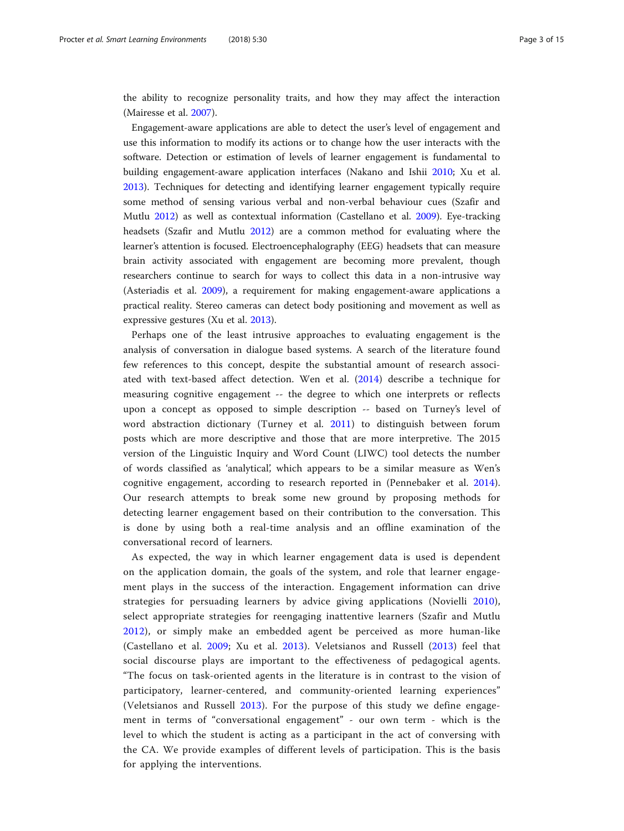the ability to recognize personality traits, and how they may affect the interaction (Mairesse et al. [2007](#page-14-0)).

Engagement-aware applications are able to detect the user's level of engagement and use this information to modify its actions or to change how the user interacts with the software. Detection or estimation of levels of learner engagement is fundamental to building engagement-aware application interfaces (Nakano and Ishii [2010](#page-14-0); Xu et al. [2013](#page-14-0)). Techniques for detecting and identifying learner engagement typically require some method of sensing various verbal and non-verbal behaviour cues (Szafir and Mutlu [2012](#page-14-0)) as well as contextual information (Castellano et al. [2009\)](#page-13-0). Eye-tracking headsets (Szafir and Mutlu [2012\)](#page-14-0) are a common method for evaluating where the learner's attention is focused. Electroencephalography (EEG) headsets that can measure brain activity associated with engagement are becoming more prevalent, though researchers continue to search for ways to collect this data in a non-intrusive way (Asteriadis et al. [2009](#page-13-0)), a requirement for making engagement-aware applications a practical reality. Stereo cameras can detect body positioning and movement as well as expressive gestures (Xu et al. [2013\)](#page-14-0).

Perhaps one of the least intrusive approaches to evaluating engagement is the analysis of conversation in dialogue based systems. A search of the literature found few references to this concept, despite the substantial amount of research associated with text-based affect detection. Wen et al. ([2014\)](#page-14-0) describe a technique for measuring cognitive engagement -- the degree to which one interprets or reflects upon a concept as opposed to simple description -- based on Turney's level of word abstraction dictionary (Turney et al. [2011](#page-14-0)) to distinguish between forum posts which are more descriptive and those that are more interpretive. The 2015 version of the Linguistic Inquiry and Word Count (LIWC) tool detects the number of words classified as 'analytical', which appears to be a similar measure as Wen's cognitive engagement, according to research reported in (Pennebaker et al. [2014](#page-14-0)). Our research attempts to break some new ground by proposing methods for detecting learner engagement based on their contribution to the conversation. This is done by using both a real-time analysis and an offline examination of the conversational record of learners.

As expected, the way in which learner engagement data is used is dependent on the application domain, the goals of the system, and role that learner engagement plays in the success of the interaction. Engagement information can drive strategies for persuading learners by advice giving applications (Novielli [2010](#page-14-0)), select appropriate strategies for reengaging inattentive learners (Szafir and Mutlu [2012](#page-14-0)), or simply make an embedded agent be perceived as more human-like (Castellano et al. [2009](#page-13-0); Xu et al. [2013](#page-14-0)). Veletsianos and Russell ([2013\)](#page-14-0) feel that social discourse plays are important to the effectiveness of pedagogical agents. "The focus on task-oriented agents in the literature is in contrast to the vision of participatory, learner-centered, and community-oriented learning experiences" (Veletsianos and Russell [2013\)](#page-14-0). For the purpose of this study we define engagement in terms of "conversational engagement" - our own term - which is the level to which the student is acting as a participant in the act of conversing with the CA. We provide examples of different levels of participation. This is the basis for applying the interventions.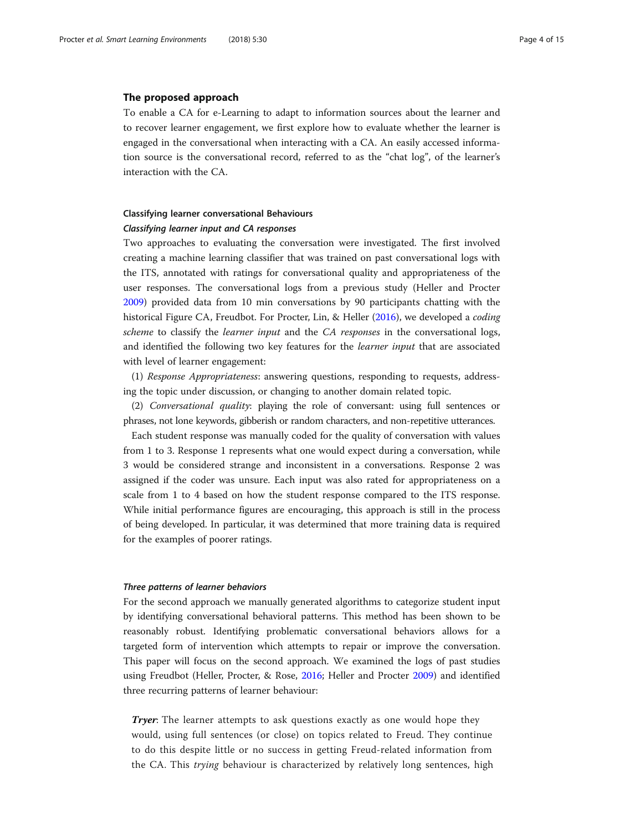#### The proposed approach

To enable a CA for e-Learning to adapt to information sources about the learner and to recover learner engagement, we first explore how to evaluate whether the learner is engaged in the conversational when interacting with a CA. An easily accessed information source is the conversational record, referred to as the "chat log", of the learner's interaction with the CA.

## Classifying learner conversational Behaviours Classifying learner input and CA responses

Two approaches to evaluating the conversation were investigated. The first involved creating a machine learning classifier that was trained on past conversational logs with the ITS, annotated with ratings for conversational quality and appropriateness of the user responses. The conversational logs from a previous study (Heller and Procter [2009](#page-14-0)) provided data from 10 min conversations by 90 participants chatting with the historical Figure CA, Freudbot. For Procter, Lin, & Heller [\(2016](#page-14-0)), we developed a *coding* scheme to classify the *learner input* and the CA responses in the conversational logs, and identified the following two key features for the learner input that are associated with level of learner engagement:

(1) Response Appropriateness: answering questions, responding to requests, addressing the topic under discussion, or changing to another domain related topic.

(2) Conversational quality: playing the role of conversant: using full sentences or phrases, not lone keywords, gibberish or random characters, and non-repetitive utterances.

Each student response was manually coded for the quality of conversation with values from 1 to 3. Response 1 represents what one would expect during a conversation, while 3 would be considered strange and inconsistent in a conversations. Response 2 was assigned if the coder was unsure. Each input was also rated for appropriateness on a scale from 1 to 4 based on how the student response compared to the ITS response. While initial performance figures are encouraging, this approach is still in the process of being developed. In particular, it was determined that more training data is required for the examples of poorer ratings.

#### Three patterns of learner behaviors

For the second approach we manually generated algorithms to categorize student input by identifying conversational behavioral patterns. This method has been shown to be reasonably robust. Identifying problematic conversational behaviors allows for a targeted form of intervention which attempts to repair or improve the conversation. This paper will focus on the second approach. We examined the logs of past studies using Freudbot (Heller, Procter, & Rose, [2016;](#page-14-0) Heller and Procter [2009\)](#page-14-0) and identified three recurring patterns of learner behaviour:

Tryer: The learner attempts to ask questions exactly as one would hope they would, using full sentences (or close) on topics related to Freud. They continue to do this despite little or no success in getting Freud-related information from the CA. This trying behaviour is characterized by relatively long sentences, high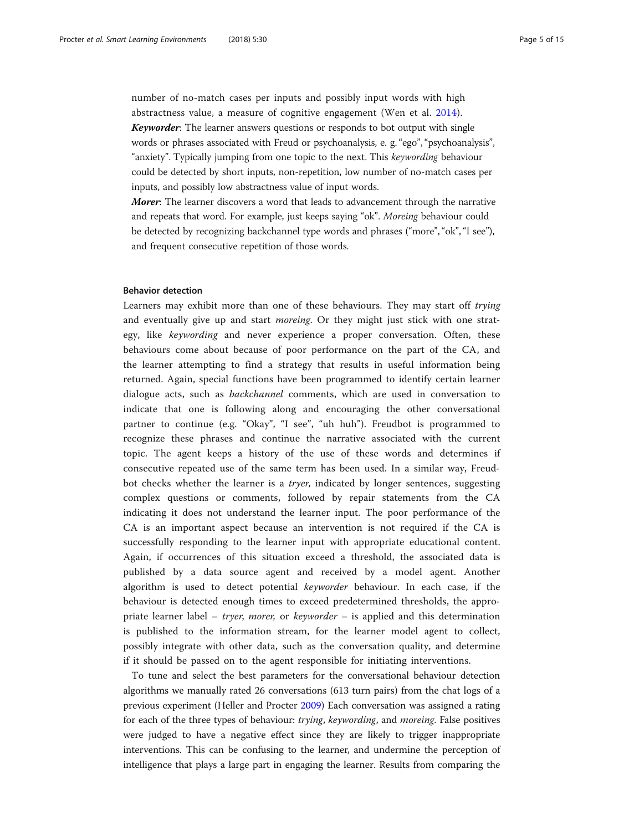number of no-match cases per inputs and possibly input words with high abstractness value, a measure of cognitive engagement (Wen et al. [2014](#page-14-0)).

Keyworder: The learner answers questions or responds to bot output with single words or phrases associated with Freud or psychoanalysis, e. g. "ego", "psychoanalysis", "anxiety". Typically jumping from one topic to the next. This keywording behaviour could be detected by short inputs, non-repetition, low number of no-match cases per inputs, and possibly low abstractness value of input words.

**Morer:** The learner discovers a word that leads to advancement through the narrative and repeats that word. For example, just keeps saying "ok". Moreing behaviour could be detected by recognizing backchannel type words and phrases ("more","ok","I see"), and frequent consecutive repetition of those words.

## Behavior detection

Learners may exhibit more than one of these behaviours. They may start off trying and eventually give up and start *moreing*. Or they might just stick with one strategy, like keywording and never experience a proper conversation. Often, these behaviours come about because of poor performance on the part of the CA, and the learner attempting to find a strategy that results in useful information being returned. Again, special functions have been programmed to identify certain learner dialogue acts, such as backchannel comments, which are used in conversation to indicate that one is following along and encouraging the other conversational partner to continue (e.g. "Okay", "I see", "uh huh"). Freudbot is programmed to recognize these phrases and continue the narrative associated with the current topic. The agent keeps a history of the use of these words and determines if consecutive repeated use of the same term has been used. In a similar way, Freudbot checks whether the learner is a tryer, indicated by longer sentences, suggesting complex questions or comments, followed by repair statements from the CA indicating it does not understand the learner input. The poor performance of the CA is an important aspect because an intervention is not required if the CA is successfully responding to the learner input with appropriate educational content. Again, if occurrences of this situation exceed a threshold, the associated data is published by a data source agent and received by a model agent. Another algorithm is used to detect potential keyworder behaviour. In each case, if the behaviour is detected enough times to exceed predetermined thresholds, the appropriate learner label – *tryer, morer,* or *keyworder* – is applied and this determination is published to the information stream, for the learner model agent to collect, possibly integrate with other data, such as the conversation quality, and determine if it should be passed on to the agent responsible for initiating interventions.

To tune and select the best parameters for the conversational behaviour detection algorithms we manually rated 26 conversations (613 turn pairs) from the chat logs of a previous experiment (Heller and Procter [2009\)](#page-14-0) Each conversation was assigned a rating for each of the three types of behaviour: trying, keywording, and moreing. False positives were judged to have a negative effect since they are likely to trigger inappropriate interventions. This can be confusing to the learner, and undermine the perception of intelligence that plays a large part in engaging the learner. Results from comparing the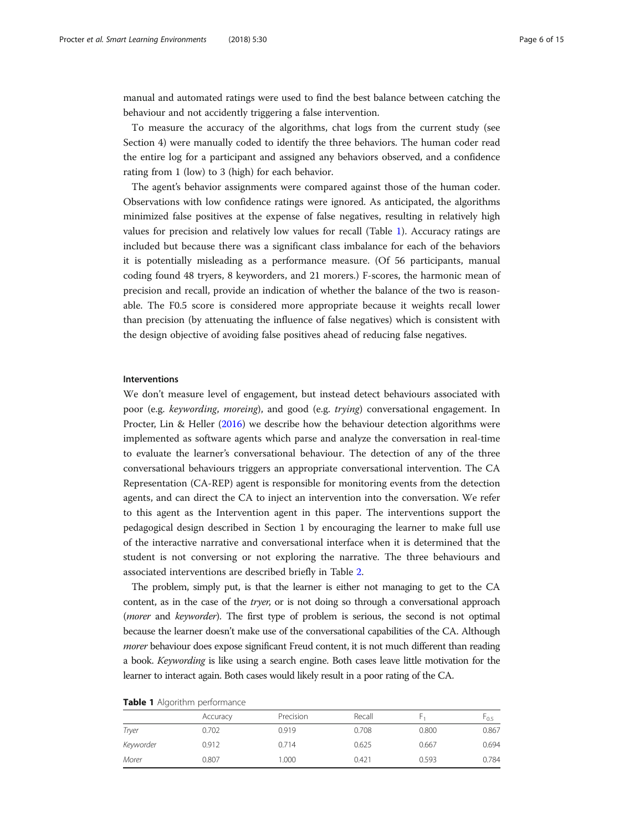manual and automated ratings were used to find the best balance between catching the behaviour and not accidently triggering a false intervention.

To measure the accuracy of the algorithms, chat logs from the current study (see Section 4) were manually coded to identify the three behaviors. The human coder read the entire log for a participant and assigned any behaviors observed, and a confidence rating from 1 (low) to 3 (high) for each behavior.

The agent's behavior assignments were compared against those of the human coder. Observations with low confidence ratings were ignored. As anticipated, the algorithms minimized false positives at the expense of false negatives, resulting in relatively high values for precision and relatively low values for recall (Table 1). Accuracy ratings are included but because there was a significant class imbalance for each of the behaviors it is potentially misleading as a performance measure. (Of 56 participants, manual coding found 48 tryers, 8 keyworders, and 21 morers.) F-scores, the harmonic mean of precision and recall, provide an indication of whether the balance of the two is reasonable. The F0.5 score is considered more appropriate because it weights recall lower than precision (by attenuating the influence of false negatives) which is consistent with the design objective of avoiding false positives ahead of reducing false negatives.

### Interventions

We don't measure level of engagement, but instead detect behaviours associated with poor (e.g. keywording, moreing), and good (e.g. trying) conversational engagement. In Procter, Lin & Heller ([2016](#page-14-0)) we describe how the behaviour detection algorithms were implemented as software agents which parse and analyze the conversation in real-time to evaluate the learner's conversational behaviour. The detection of any of the three conversational behaviours triggers an appropriate conversational intervention. The CA Representation (CA-REP) agent is responsible for monitoring events from the detection agents, and can direct the CA to inject an intervention into the conversation. We refer to this agent as the Intervention agent in this paper. The interventions support the pedagogical design described in Section 1 by encouraging the learner to make full use of the interactive narrative and conversational interface when it is determined that the student is not conversing or not exploring the narrative. The three behaviours and associated interventions are described briefly in Table [2](#page-6-0).

The problem, simply put, is that the learner is either not managing to get to the CA content, as in the case of the *tryer*, or is not doing so through a conversational approach (*morer* and *keyworder*). The first type of problem is serious, the second is not optimal because the learner doesn't make use of the conversational capabilities of the CA. Although morer behaviour does expose significant Freud content, it is not much different than reading a book. Keywording is like using a search engine. Both cases leave little motivation for the learner to interact again. Both cases would likely result in a poor rating of the CA.

|           | Accuracy | Precision | Recall | ۳,    | $r_{0.5}$ |  |  |
|-----------|----------|-----------|--------|-------|-----------|--|--|
| Tryer     | 0.702    | 0.919     | 0.708  | 0.800 | 0.867     |  |  |
| Keyworder | 0.912    | 0.714     | 0.625  | 0.667 | 0.694     |  |  |
| Morer     | 0.807    | 1.000     | 0.421  | 0.593 | 0.784     |  |  |

|  |  |  | <b>Table 1</b> Algorithm performance |
|--|--|--|--------------------------------------|
|--|--|--|--------------------------------------|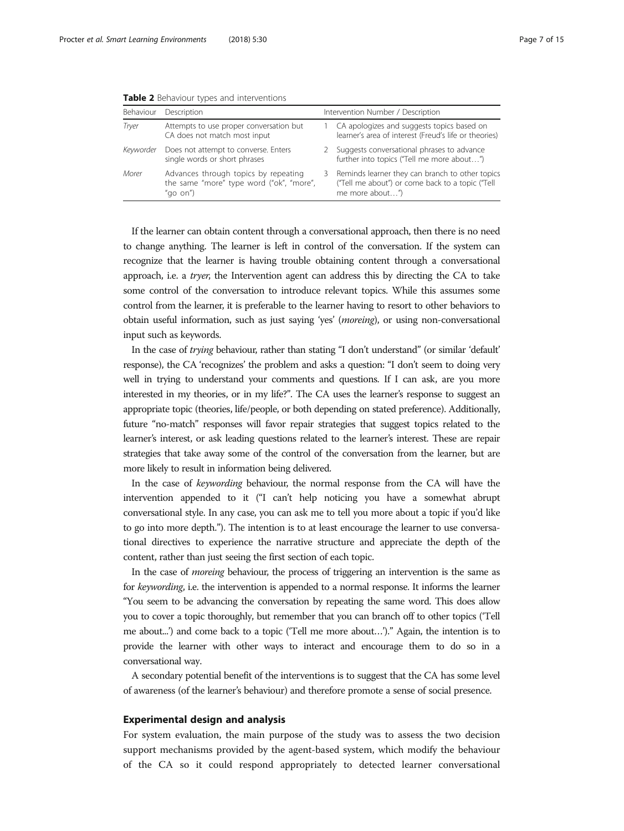<span id="page-6-0"></span>**Table 2** Behaviour types and interventions

| Behaviour | Description                                                                                  | Intervention Number / Description |                                                                                                                        |  |  |
|-----------|----------------------------------------------------------------------------------------------|-----------------------------------|------------------------------------------------------------------------------------------------------------------------|--|--|
| Tryer     | Attempts to use proper conversation but<br>CA does not match most input                      |                                   | CA apologizes and suggests topics based on<br>learner's area of interest (Freud's life or theories)                    |  |  |
| Keyworder | Does not attempt to converse. Enters<br>single words or short phrases                        |                                   | 2 Suggests conversational phrases to advance<br>further into topics ("Tell me more about")                             |  |  |
| Morer     | Advances through topics by repeating<br>the same "more" type word ("ok", "more",<br>"go on") | 3                                 | Reminds learner they can branch to other topics<br>("Tell me about") or come back to a topic ("Tell<br>me more about") |  |  |

If the learner can obtain content through a conversational approach, then there is no need to change anything. The learner is left in control of the conversation. If the system can recognize that the learner is having trouble obtaining content through a conversational approach, i.e. a tryer, the Intervention agent can address this by directing the CA to take some control of the conversation to introduce relevant topics. While this assumes some control from the learner, it is preferable to the learner having to resort to other behaviors to obtain useful information, such as just saying 'yes' (moreing), or using non-conversational input such as keywords.

In the case of trying behaviour, rather than stating "I don't understand" (or similar 'default' response), the CA 'recognizes' the problem and asks a question: "I don't seem to doing very well in trying to understand your comments and questions. If I can ask, are you more interested in my theories, or in my life?". The CA uses the learner's response to suggest an appropriate topic (theories, life/people, or both depending on stated preference). Additionally, future "no-match" responses will favor repair strategies that suggest topics related to the learner's interest, or ask leading questions related to the learner's interest. These are repair strategies that take away some of the control of the conversation from the learner, but are more likely to result in information being delivered.

In the case of keywording behaviour, the normal response from the CA will have the intervention appended to it ("I can't help noticing you have a somewhat abrupt conversational style. In any case, you can ask me to tell you more about a topic if you'd like to go into more depth."). The intention is to at least encourage the learner to use conversational directives to experience the narrative structure and appreciate the depth of the content, rather than just seeing the first section of each topic.

In the case of *moreing* behaviour, the process of triggering an intervention is the same as for keywording, i.e. the intervention is appended to a normal response. It informs the learner "You seem to be advancing the conversation by repeating the same word. This does allow you to cover a topic thoroughly, but remember that you can branch off to other topics ('Tell me about...') and come back to a topic ('Tell me more about…')." Again, the intention is to provide the learner with other ways to interact and encourage them to do so in a conversational way.

A secondary potential benefit of the interventions is to suggest that the CA has some level of awareness (of the learner's behaviour) and therefore promote a sense of social presence.

## Experimental design and analysis

For system evaluation, the main purpose of the study was to assess the two decision support mechanisms provided by the agent-based system, which modify the behaviour of the CA so it could respond appropriately to detected learner conversational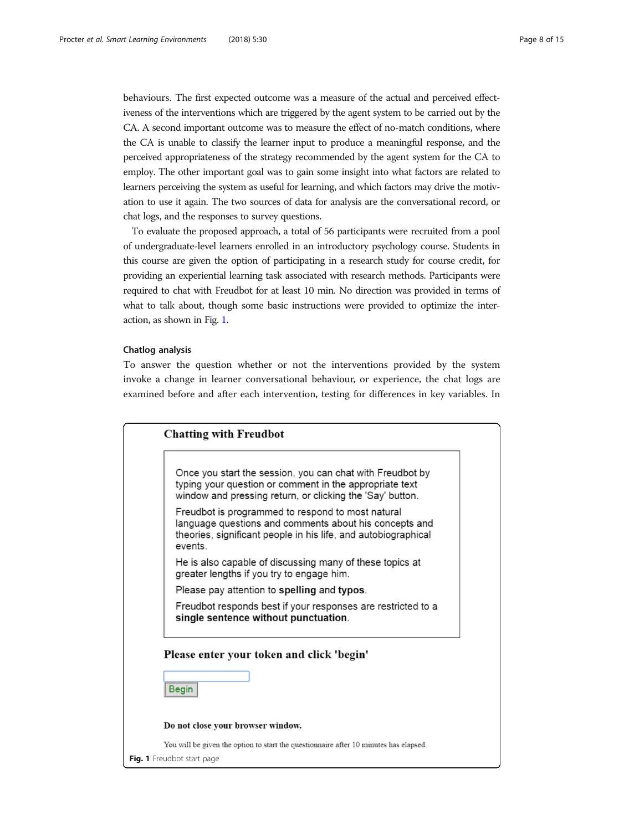behaviours. The first expected outcome was a measure of the actual and perceived effectiveness of the interventions which are triggered by the agent system to be carried out by the CA. A second important outcome was to measure the effect of no-match conditions, where the CA is unable to classify the learner input to produce a meaningful response, and the perceived appropriateness of the strategy recommended by the agent system for the CA to employ. The other important goal was to gain some insight into what factors are related to learners perceiving the system as useful for learning, and which factors may drive the motivation to use it again. The two sources of data for analysis are the conversational record, or chat logs, and the responses to survey questions.

To evaluate the proposed approach, a total of 56 participants were recruited from a pool of undergraduate-level learners enrolled in an introductory psychology course. Students in this course are given the option of participating in a research study for course credit, for providing an experiential learning task associated with research methods. Participants were required to chat with Freudbot for at least 10 min. No direction was provided in terms of what to talk about, though some basic instructions were provided to optimize the interaction, as shown in Fig. 1.

## Chatlog analysis

To answer the question whether or not the interventions provided by the system invoke a change in learner conversational behaviour, or experience, the chat logs are examined before and after each intervention, testing for differences in key variables. In

| <b>Chatting with Freudbot</b>                                                                                                                                                           |
|-----------------------------------------------------------------------------------------------------------------------------------------------------------------------------------------|
| Once you start the session, you can chat with Freudbot by<br>typing your question or comment in the appropriate text<br>window and pressing return, or clicking the 'Say' button.       |
| Freudbot is programmed to respond to most natural<br>language questions and comments about his concepts and<br>theories, significant people in his life, and autobiographical<br>events |
| He is also capable of discussing many of these topics at<br>greater lengths if you try to engage him.                                                                                   |
| Please pay attention to spelling and typos.                                                                                                                                             |
| Freudbot responds best if your responses are restricted to a<br>single sentence without punctuation.                                                                                    |
| Please enter your token and click 'begin'<br><b>Begin</b>                                                                                                                               |
| Do not close your browser window.                                                                                                                                                       |
| You will be given the option to start the questionnaire after 10 minutes has elapsed.                                                                                                   |
| Fig. 1 Freudbot start page                                                                                                                                                              |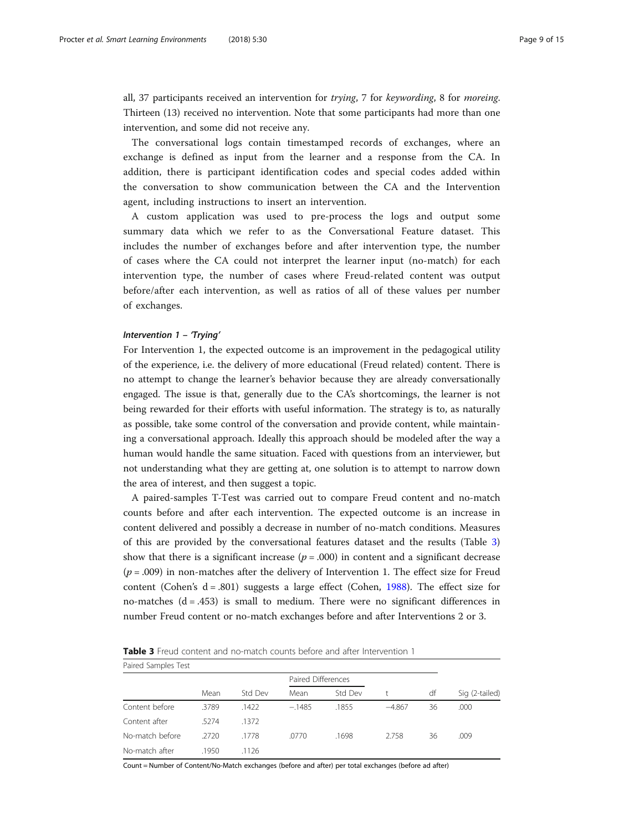all, 37 participants received an intervention for trying, 7 for keywording, 8 for moreing. Thirteen (13) received no intervention. Note that some participants had more than one intervention, and some did not receive any.

The conversational logs contain timestamped records of exchanges, where an exchange is defined as input from the learner and a response from the CA. In addition, there is participant identification codes and special codes added within the conversation to show communication between the CA and the Intervention agent, including instructions to insert an intervention.

A custom application was used to pre-process the logs and output some summary data which we refer to as the Conversational Feature dataset. This includes the number of exchanges before and after intervention type, the number of cases where the CA could not interpret the learner input (no-match) for each intervention type, the number of cases where Freud-related content was output before/after each intervention, as well as ratios of all of these values per number of exchanges.

## Intervention 1 – 'Trying'

For Intervention 1, the expected outcome is an improvement in the pedagogical utility of the experience, i.e. the delivery of more educational (Freud related) content. There is no attempt to change the learner's behavior because they are already conversationally engaged. The issue is that, generally due to the CA's shortcomings, the learner is not being rewarded for their efforts with useful information. The strategy is to, as naturally as possible, take some control of the conversation and provide content, while maintaining a conversational approach. Ideally this approach should be modeled after the way a human would handle the same situation. Faced with questions from an interviewer, but not understanding what they are getting at, one solution is to attempt to narrow down the area of interest, and then suggest a topic.

A paired-samples T-Test was carried out to compare Freud content and no-match counts before and after each intervention. The expected outcome is an increase in content delivered and possibly a decrease in number of no-match conditions. Measures of this are provided by the conversational features dataset and the results (Table 3) show that there is a significant increase ( $p = .000$ ) in content and a significant decrease  $(p = .009)$  in non-matches after the delivery of Intervention 1. The effect size for Freud content (Cohen's  $d = .801$ ) suggests a large effect (Cohen, [1988](#page-13-0)). The effect size for no-matches  $(d = .453)$  is small to medium. There were no significant differences in number Freud content or no-match exchanges before and after Interventions 2 or 3.

## **Table 3** Freud content and no-match counts before and after Intervention 1

| Paired Samples Test |       |         |                    |         |          |    |                |  |
|---------------------|-------|---------|--------------------|---------|----------|----|----------------|--|
|                     |       | Std Dev | Paired Differences |         |          |    |                |  |
|                     | Mean  |         | Mean               | Std Dev |          | df | Sig (2-tailed) |  |
| Content before      | 3789  | .1422   | $-.1485$           | .1855   | $-4.867$ | 36 | .000           |  |
| Content after       | .5274 | .1372   |                    |         |          |    |                |  |
| No-match before     | .2720 | .1778   | .0770              | .1698   | 2.758    | 36 | .009           |  |
| No-match after      | .1950 | .1126   |                    |         |          |    |                |  |

Count = Number of Content/No-Match exchanges (before and after) per total exchanges (before ad after)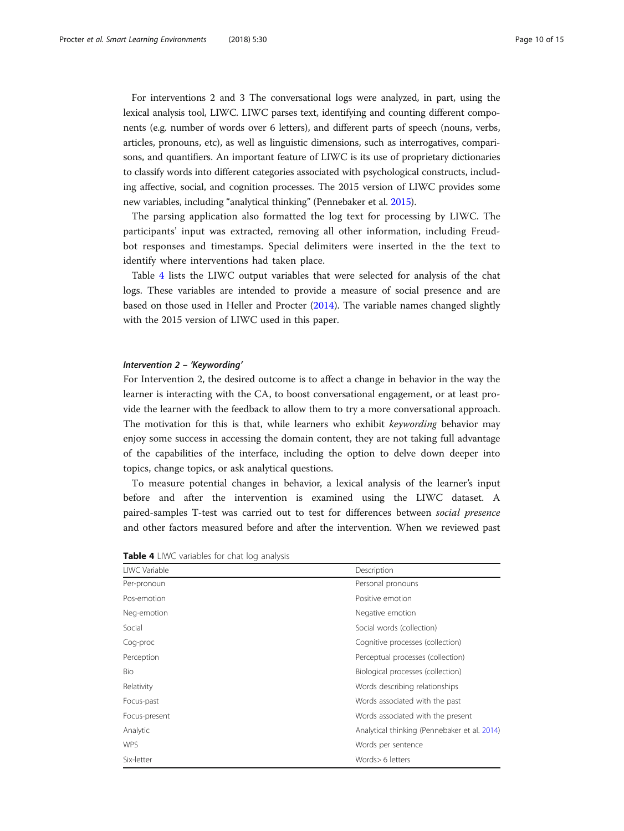For interventions 2 and 3 The conversational logs were analyzed, in part, using the lexical analysis tool, LIWC. LIWC parses text, identifying and counting different components (e.g. number of words over 6 letters), and different parts of speech (nouns, verbs, articles, pronouns, etc), as well as linguistic dimensions, such as interrogatives, comparisons, and quantifiers. An important feature of LIWC is its use of proprietary dictionaries to classify words into different categories associated with psychological constructs, including affective, social, and cognition processes. The 2015 version of LIWC provides some new variables, including "analytical thinking" (Pennebaker et al. [2015](#page-14-0)).

The parsing application also formatted the log text for processing by LIWC. The participants' input was extracted, removing all other information, including Freudbot responses and timestamps. Special delimiters were inserted in the the text to identify where interventions had taken place.

Table 4 lists the LIWC output variables that were selected for analysis of the chat logs. These variables are intended to provide a measure of social presence and are based on those used in Heller and Procter [\(2014\)](#page-14-0). The variable names changed slightly with the 2015 version of LIWC used in this paper.

#### Intervention 2 – 'Keywording'

For Intervention 2, the desired outcome is to affect a change in behavior in the way the learner is interacting with the CA, to boost conversational engagement, or at least provide the learner with the feedback to allow them to try a more conversational approach. The motivation for this is that, while learners who exhibit keywording behavior may enjoy some success in accessing the domain content, they are not taking full advantage of the capabilities of the interface, including the option to delve down deeper into topics, change topics, or ask analytical questions.

To measure potential changes in behavior, a lexical analysis of the learner's input before and after the intervention is examined using the LIWC dataset. A paired-samples T-test was carried out to test for differences between social presence and other factors measured before and after the intervention. When we reviewed past

| LIWC Variable | Description                                  |
|---------------|----------------------------------------------|
| Per-pronoun   | Personal pronouns                            |
| Pos-emotion   | Positive emotion                             |
| Neg-emotion   | Negative emotion                             |
| Social        | Social words (collection)                    |
| Cog-proc      | Cognitive processes (collection)             |
| Perception    | Perceptual processes (collection)            |
| Bio           | Biological processes (collection)            |
| Relativity    | Words describing relationships               |
| Focus-past    | Words associated with the past               |
| Focus-present | Words associated with the present            |
| Analytic      | Analytical thinking (Pennebaker et al. 2014) |
| <b>WPS</b>    | Words per sentence                           |
| Six-letter    | Words> 6 letters                             |
|               |                                              |

Table 4 LIWC variables for chat log analysis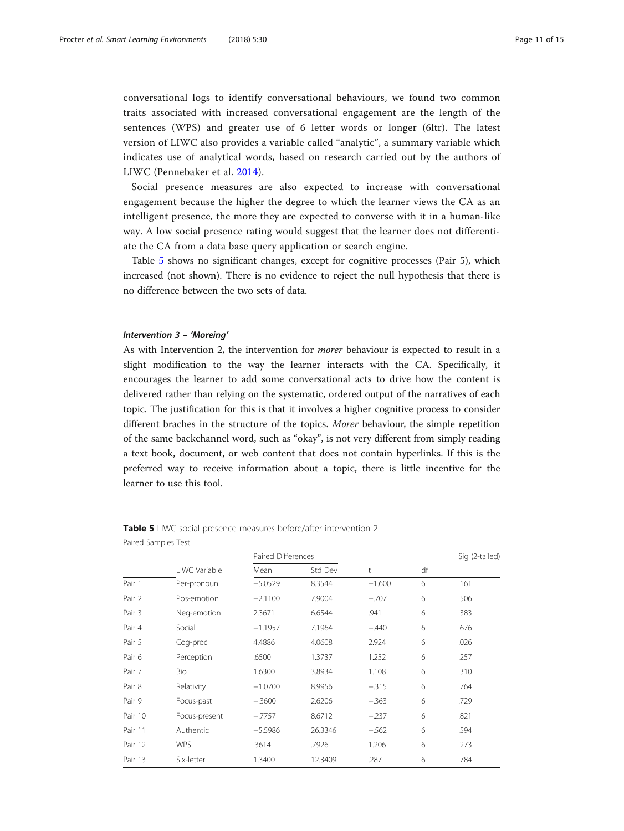conversational logs to identify conversational behaviours, we found two common traits associated with increased conversational engagement are the length of the sentences (WPS) and greater use of 6 letter words or longer (6ltr). The latest version of LIWC also provides a variable called "analytic", a summary variable which indicates use of analytical words, based on research carried out by the authors of LIWC (Pennebaker et al. [2014](#page-14-0)).

Social presence measures are also expected to increase with conversational engagement because the higher the degree to which the learner views the CA as an intelligent presence, the more they are expected to converse with it in a human-like way. A low social presence rating would suggest that the learner does not differentiate the CA from a data base query application or search engine.

Table 5 shows no significant changes, except for cognitive processes (Pair 5), which increased (not shown). There is no evidence to reject the null hypothesis that there is no difference between the two sets of data.

## Intervention 3 – 'Moreing'

As with Intervention 2, the intervention for morer behaviour is expected to result in a slight modification to the way the learner interacts with the CA. Specifically, it encourages the learner to add some conversational acts to drive how the content is delivered rather than relying on the systematic, ordered output of the narratives of each topic. The justification for this is that it involves a higher cognitive process to consider different braches in the structure of the topics. Morer behaviour, the simple repetition of the same backchannel word, such as "okay", is not very different from simply reading a text book, document, or web content that does not contain hyperlinks. If this is the preferred way to receive information about a topic, there is little incentive for the learner to use this tool.

| Paired Samples Test<br>Paired Differences |               |           |         |          |    |                |  |  |
|-------------------------------------------|---------------|-----------|---------|----------|----|----------------|--|--|
|                                           |               |           |         |          |    | Sig (2-tailed) |  |  |
|                                           | LIWC Variable | Mean      | Std Dev | t        | df |                |  |  |
| Pair 1                                    | Per-pronoun   | $-5.0529$ | 8.3544  | $-1.600$ | 6  | .161           |  |  |
| Pair 2                                    | Pos-emotion   | $-2.1100$ | 7.9004  | $-.707$  | 6  | .506           |  |  |
| Pair 3                                    | Neg-emotion   | 2.3671    | 6.6544  | .941     | 6  | .383           |  |  |
| Pair 4                                    | Social        | $-1.1957$ | 7.1964  | $-.440$  | 6  | .676           |  |  |
| Pair 5                                    | Coq-proc      | 4.4886    | 4.0608  | 2.924    | 6  | .026           |  |  |
| Pair 6                                    | Perception    | .6500     | 1.3737  | 1.252    | 6  | .257           |  |  |
| Pair 7                                    | Bio           | 1.6300    | 3.8934  | 1.108    | 6  | .310           |  |  |
| Pair 8                                    | Relativity    | $-1.0700$ | 8.9956  | $-.315$  | 6  | .764           |  |  |
| Pair 9                                    | Focus-past    | $-.3600$  | 2.6206  | $-.363$  | 6  | .729           |  |  |
| Pair 10                                   | Focus-present | $-.7757$  | 8.6712  | $-.237$  | 6  | .821           |  |  |
| Pair 11                                   | Authentic     | $-5.5986$ | 26.3346 | $-.562$  | 6  | .594           |  |  |
| Pair 12                                   | <b>WPS</b>    | .3614     | .7926   | 1.206    | 6  | .273           |  |  |
| Pair 13                                   | Six-letter    | 1.3400    | 12.3409 | .287     | 6  | .784           |  |  |

Table 5 LIWC social presence measures before/after intervention 2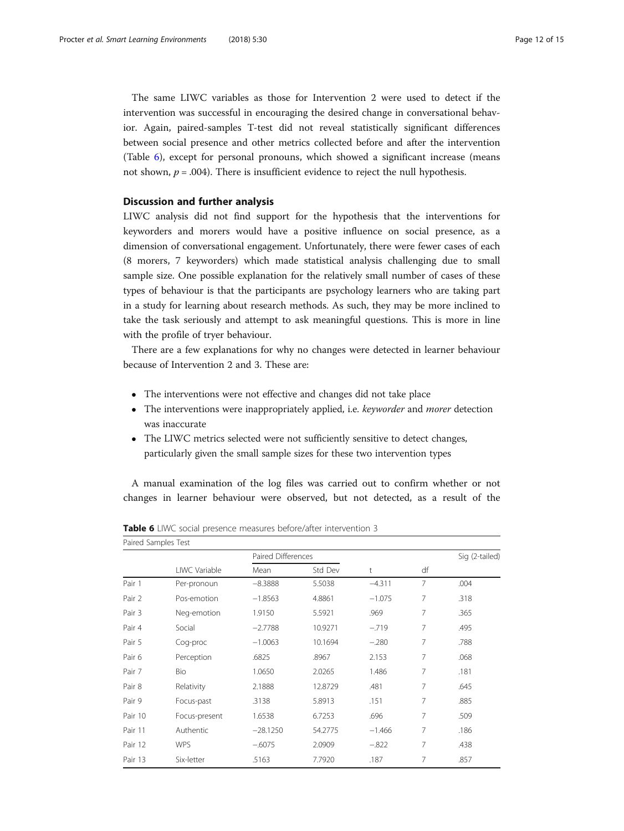The same LIWC variables as those for Intervention 2 were used to detect if the intervention was successful in encouraging the desired change in conversational behavior. Again, paired-samples T-test did not reveal statistically significant differences between social presence and other metrics collected before and after the intervention (Table 6), except for personal pronouns, which showed a significant increase (means not shown,  $p = .004$ ). There is insufficient evidence to reject the null hypothesis.

## Discussion and further analysis

LIWC analysis did not find support for the hypothesis that the interventions for keyworders and morers would have a positive influence on social presence, as a dimension of conversational engagement. Unfortunately, there were fewer cases of each (8 morers, 7 keyworders) which made statistical analysis challenging due to small sample size. One possible explanation for the relatively small number of cases of these types of behaviour is that the participants are psychology learners who are taking part in a study for learning about research methods. As such, they may be more inclined to take the task seriously and attempt to ask meaningful questions. This is more in line with the profile of tryer behaviour.

There are a few explanations for why no changes were detected in learner behaviour because of Intervention 2 and 3. These are:

- The interventions were not effective and changes did not take place
- The interventions were inappropriately applied, i.e. keyworder and morer detection was inaccurate
- The LIWC metrics selected were not sufficiently sensitive to detect changes, particularly given the small sample sizes for these two intervention types

A manual examination of the log files was carried out to confirm whether or not changes in learner behaviour were observed, but not detected, as a result of the

|         |               |            | Paired Differences |          |                | Sig (2-tailed) |
|---------|---------------|------------|--------------------|----------|----------------|----------------|
|         | LIWC Variable | Mean       | Std Dev            | t        | df             |                |
| Pair 1  | Per-pronoun   | $-8.3888$  | 5.5038             | $-4.311$ | $\overline{7}$ | .004           |
| Pair 2  | Pos-emotion   | $-1.8563$  | 4.8861             | $-1.075$ | 7              | .318           |
| Pair 3  | Neg-emotion   | 1.9150     | 5.5921             | .969     | 7              | .365           |
| Pair 4  | Social        | $-2.7788$  | 10.9271            | $-.719$  | 7              | .495           |
| Pair 5  | Cog-proc      | $-1.0063$  | 10.1694            | $-.280$  | $\overline{7}$ | .788           |
| Pair 6  | Perception    | .6825      | .8967              | 2.153    | 7              | .068           |
| Pair 7  | Bio           | 1.0650     | 2.0265             | 1.486    | 7              | .181           |
| Pair 8  | Relativity    | 2.1888     | 12.8729            | .481     | 7              | .645           |
| Pair 9  | Focus-past    | .3138      | 5.8913             | .151     | 7              | .885           |
| Pair 10 | Focus-present | 1.6538     | 6.7253             | .696     | 7              | .509           |
| Pair 11 | Authentic     | $-28.1250$ | 54.2775            | $-1.466$ | 7              | .186           |
| Pair 12 | <b>WPS</b>    | $-.6075$   | 2.0909             | $-.822$  | 7              | .438           |
| Pair 13 | Six-letter    | .5163      | 7.7920             | .187     | 7              | .857           |

Table 6 LIWC social presence measures before/after intervention 3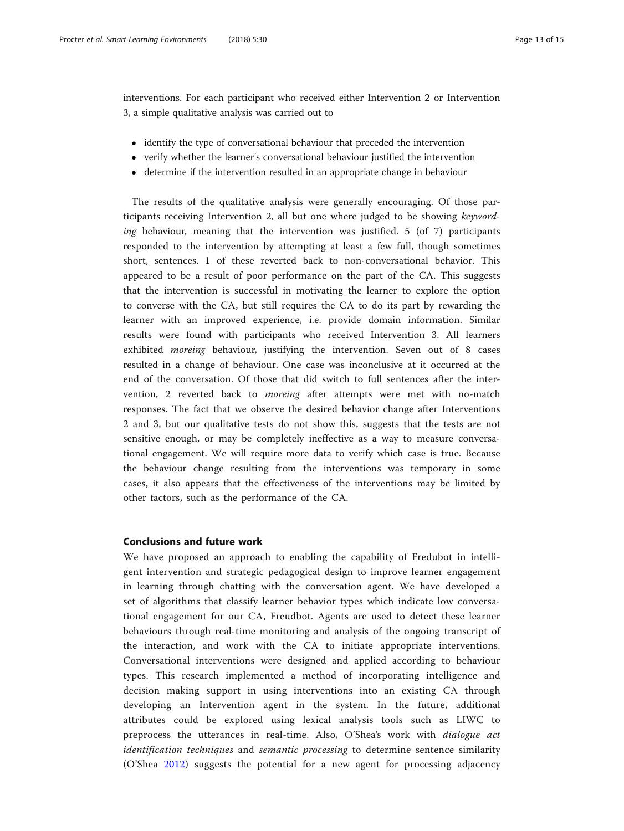interventions. For each participant who received either Intervention 2 or Intervention 3, a simple qualitative analysis was carried out to

- identify the type of conversational behaviour that preceded the intervention
- verify whether the learner's conversational behaviour justified the intervention
- determine if the intervention resulted in an appropriate change in behaviour

The results of the qualitative analysis were generally encouraging. Of those participants receiving Intervention 2, all but one where judged to be showing keyword*ing* behaviour, meaning that the intervention was justified.  $5$  (of 7) participants responded to the intervention by attempting at least a few full, though sometimes short, sentences. 1 of these reverted back to non-conversational behavior. This appeared to be a result of poor performance on the part of the CA. This suggests that the intervention is successful in motivating the learner to explore the option to converse with the CA, but still requires the CA to do its part by rewarding the learner with an improved experience, i.e. provide domain information. Similar results were found with participants who received Intervention 3. All learners exhibited moreing behaviour, justifying the intervention. Seven out of 8 cases resulted in a change of behaviour. One case was inconclusive at it occurred at the end of the conversation. Of those that did switch to full sentences after the intervention, 2 reverted back to moreing after attempts were met with no-match responses. The fact that we observe the desired behavior change after Interventions 2 and 3, but our qualitative tests do not show this, suggests that the tests are not sensitive enough, or may be completely ineffective as a way to measure conversational engagement. We will require more data to verify which case is true. Because the behaviour change resulting from the interventions was temporary in some cases, it also appears that the effectiveness of the interventions may be limited by other factors, such as the performance of the CA.

## Conclusions and future work

We have proposed an approach to enabling the capability of Fredubot in intelligent intervention and strategic pedagogical design to improve learner engagement in learning through chatting with the conversation agent. We have developed a set of algorithms that classify learner behavior types which indicate low conversational engagement for our CA, Freudbot. Agents are used to detect these learner behaviours through real-time monitoring and analysis of the ongoing transcript of the interaction, and work with the CA to initiate appropriate interventions. Conversational interventions were designed and applied according to behaviour types. This research implemented a method of incorporating intelligence and decision making support in using interventions into an existing CA through developing an Intervention agent in the system. In the future, additional attributes could be explored using lexical analysis tools such as LIWC to preprocess the utterances in real-time. Also, O'Shea's work with *dialogue act* identification techniques and semantic processing to determine sentence similarity (O'Shea [2012\)](#page-14-0) suggests the potential for a new agent for processing adjacency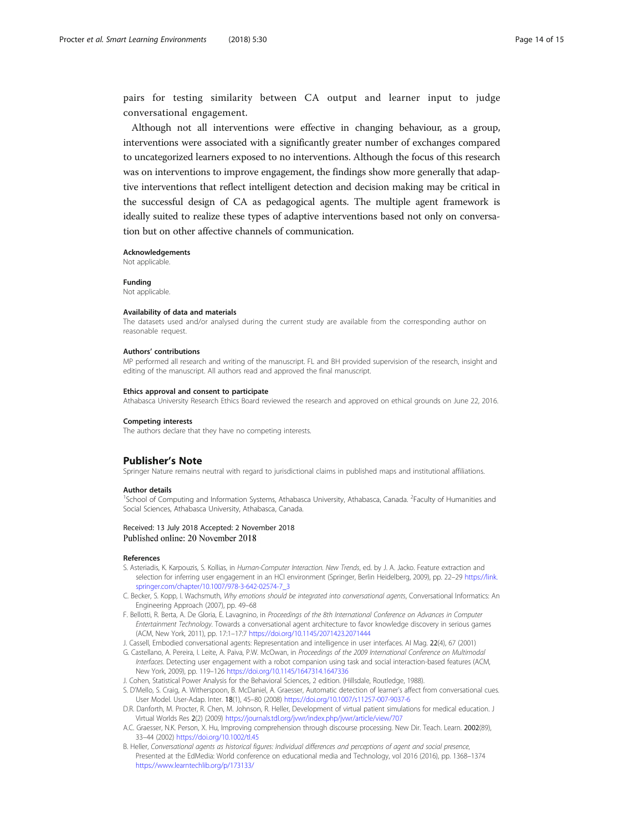<span id="page-13-0"></span>pairs for testing similarity between CA output and learner input to judge conversational engagement.

Although not all interventions were effective in changing behaviour, as a group, interventions were associated with a significantly greater number of exchanges compared to uncategorized learners exposed to no interventions. Although the focus of this research was on interventions to improve engagement, the findings show more generally that adaptive interventions that reflect intelligent detection and decision making may be critical in the successful design of CA as pedagogical agents. The multiple agent framework is ideally suited to realize these types of adaptive interventions based not only on conversation but on other affective channels of communication.

#### Acknowledgements

Not applicable.

#### Funding

Not applicable.

#### Availability of data and materials

The datasets used and/or analysed during the current study are available from the corresponding author on reasonable request.

#### Authors' contributions

MP performed all research and writing of the manuscript. FL and BH provided supervision of the research, insight and editing of the manuscript. All authors read and approved the final manuscript.

#### Ethics approval and consent to participate

Athabasca University Research Ethics Board reviewed the research and approved on ethical grounds on June 22, 2016.

#### Competing interests

The authors declare that they have no competing interests.

#### Publisher's Note

Springer Nature remains neutral with regard to jurisdictional claims in published maps and institutional affiliations.

#### Author details

<sup>1</sup>School of Computing and Information Systems, Athabasca University, Athabasca, Canada. <sup>2</sup>Faculty of Humanities and Social Sciences, Athabasca University, Athabasca, Canada.

#### Received: 13 July 2018 Accepted: 2 November 2018 Published online: 20 November 2018

#### References

- S. Asteriadis, K. Karpouzis, S. Kollias, in Human-Computer Interaction. New Trends, ed. by J. A. Jacko. Feature extraction and selection for inferring user engagement in an HCI environment (Springer, Berlin Heidelberg, 2009), pp. 22–29 [https://link.](https://link.springer.com/chapter/10.1007/978-3-642-02574-7_3) springer.com/chapter/10.1007/978-3-642-02574-7\_
- C. Becker, S. Kopp, I. Wachsmuth, Why emotions should be integrated into conversational agents, Conversational Informatics: An Engineering Approach (2007), pp. 49–68
- F. Bellotti, R. Berta, A. De Gloria, E. Lavagnino, in Proceedings of the 8th International Conference on Advances in Computer Entertainment Technology. Towards a conversational agent architecture to favor knowledge discovery in serious games (ACM, New York, 2011), pp. 17:1–17:7 <https://doi.org/10.1145/2071423.2071444>
- J. Cassell, Embodied conversational agents: Representation and intelligence in user interfaces. AI Mag. 22(4), 67 (2001)
- G. Castellano, A. Pereira, I. Leite, A. Paiva, P.W. McOwan, in Proceedings of the 2009 International Conference on Multimodal Interfaces. Detecting user engagement with a robot companion using task and social interaction-based features (ACM, New York, 2009), pp. 119–126 <https://doi.org/10.1145/1647314.1647336>
- J. Cohen, Statistical Power Analysis for the Behavioral Sciences, 2 edition. (Hillsdale, Routledge, 1988).
- S. D'Mello, S. Craig, A. Witherspoon, B. McDaniel, A. Graesser, Automatic detection of learner's affect from conversational cues. User Model. User-Adap. Inter. 18(1), 45–80 (2008) <https://doi.org/10.1007/s11257-007-9037-6>
- D.R. Danforth, M. Procter, R. Chen, M. Johnson, R. Heller, Development of virtual patient simulations for medical education. J Virtual Worlds Res 2(2) (2009) <https://journals.tdl.org/jvwr/index.php/jvwr/article/view/707>
- A.C. Graesser, N.K. Person, X. Hu, Improving comprehension through discourse processing. New Dir. Teach. Learn. 2002(89), 33–44 (2002) <https://doi.org/10.1002/tl.45>
- B. Heller, Conversational agents as historical figures: Individual differences and perceptions of agent and social presence, Presented at the EdMedia: World conference on educational media and Technology, vol 2016 (2016), pp. 1368–1374 [https://www.learntechlib.org/p/173133/](https://0-www.learntechlib.org.aupac.lib.athabascau.ca/p/173133/)